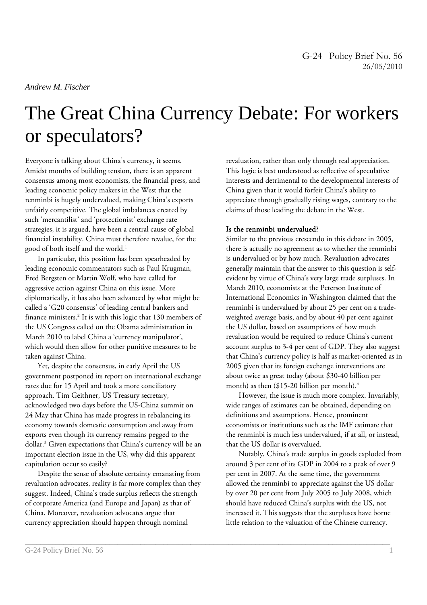# The Great China Currency Debate: For workers or speculators?

\_\_\_\_\_\_\_\_\_\_\_\_\_\_\_\_\_\_\_\_\_\_\_\_\_\_\_\_\_\_\_\_\_\_\_\_\_\_\_\_\_\_\_\_\_\_\_\_\_\_\_\_\_\_\_\_\_\_\_\_\_\_\_\_\_\_\_\_\_\_\_\_\_\_\_\_\_\_\_\_\_\_\_\_\_\_\_\_\_\_\_\_\_\_\_

Everyone is talking about China's currency, it seems. Amidst months of building tension, there is an apparent consensus among most economists, the financial press, and leading economic policy makers in the West that the renminbi is hugely undervalued, making China's exports unfairly competitive. The global imbalances created by such 'mercantilist' and 'protectionist' exchange rate strategies, it is argued, have been a central cause of global financial instability. China must therefore revalue, for the good of both itself and the world.<sup>1</sup>

In particular, this position has been spearheaded by leading economic commentators such as Paul Krugman, Fred Bergsten or Martin Wolf, who have called for aggressive action against China on this issue. More diplomatically, it has also been advanced by what might be called a 'G20 consensus' of leading central bankers and finance ministers.<sup>2</sup> It is with this logic that 130 members of the US Congress called on the Obama administration in March 2010 to label China a 'currency manipulator', which would then allow for other punitive measures to be taken against China.

Yet, despite the consensus, in early April the US government postponed its report on international exchange rates due for 15 April and took a more conciliatory approach. Tim Geithner, US Treasury secretary, acknowledged two days before the US-China summit on 24 May that China has made progress in rebalancing its economy towards domestic consumption and away from exports even though its currency remains pegged to the dollar.<sup>3</sup> Given expectations that China's currency will be an important election issue in the US, why did this apparent capitulation occur so easily?

Despite the sense of absolute certainty emanating from revaluation advocates, reality is far more complex than they suggest. Indeed, China's trade surplus reflects the strength of corporate America (and Europe and Japan) as that of China. Moreover, revaluation advocates argue that currency appreciation should happen through nominal

revaluation, rather than only through real appreciation. This logic is best understood as reflective of speculative interests and detrimental to the developmental interests of China given that it would forfeit China's ability to appreciate through gradually rising wages, contrary to the claims of those leading the debate in the West.

### Is the renminbi undervalued?

Similar to the previous crescendo in this debate in 2005, there is actually no agreement as to whether the renminbi is undervalued or by how much. Revaluation advocates generally maintain that the answer to this question is selfevident by virtue of China's very large trade surpluses. In March 2010, economists at the Peterson Institute of International Economics in Washington claimed that the renminbi is undervalued by about 25 per cent on a tradeweighted average basis, and by about 40 per cent against the US dollar, based on assumptions of how much revaluation would be required to reduce China's current account surplus to 3-4 per cent of GDP. They also suggest that China's currency policy is half as market-oriented as in 2005 given that its foreign exchange interventions are about twice as great today (about \$30-40 billion per month) as then (\$15-20 billion per month).<sup>4</sup>

However, the issue is much more complex. Invariably, wide ranges of estimates can be obtained, depending on definitions and assumptions. Hence, prominent economists or institutions such as the IMF estimate that the renminbi is much less undervalued, if at all, or instead, that the US dollar is overvalued.

Notably, China's trade surplus in goods exploded from around 3 per cent of its GDP in 2004 to a peak of over 9 per cent in 2007. At the same time, the government allowed the renminbi to appreciate against the US dollar by over 20 per cent from July 2005 to July 2008, which should have reduced China's surplus with the US, not increased it. This suggests that the surpluses have borne little relation to the valuation of the Chinese currency.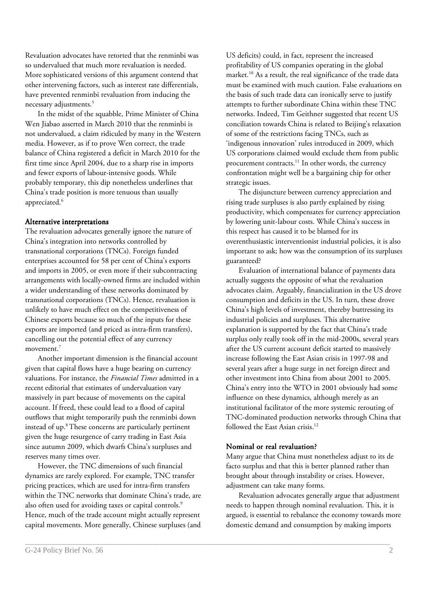Revaluation advocates have retorted that the renminbi was so undervalued that much more revaluation is needed. More sophisticated versions of this argument contend that other intervening factors, such as interest rate differentials, have prevented renminbi revaluation from inducing the necessary adjustments.<sup>5</sup>

In the midst of the squabble, Prime Minister of China Wen Jiabao asserted in March 2010 that the renminbi is not undervalued, a claim ridiculed by many in the Western media. However, as if to prove Wen correct, the trade balance of China registered a deficit in March 2010 for the first time since April 2004, due to a sharp rise in imports and fewer exports of labour-intensive goods. While probably temporary, this dip nonetheless underlines that China's trade position is more tenuous than usually appreciated.<sup>6</sup>

#### Alternative interpretations

The revaluation advocates generally ignore the nature of China's integration into networks controlled by transnational corporations (TNCs). Foreign funded enterprises accounted for 58 per cent of China's exports and imports in 2005, or even more if their subcontracting arrangements with locally-owned firms are included within a wider understanding of these networks dominated by transnational corporations (TNCs). Hence, revaluation is unlikely to have much effect on the competitiveness of Chinese exports because so much of the inputs for these exports are imported (and priced as intra-firm transfers), cancelling out the potential effect of any currency movement.<sup>7</sup>

Another important dimension is the financial account given that capital flows have a huge bearing on currency valuations. For instance, the *Financial Times* admitted in a recent editorial that estimates of undervaluation vary massively in part because of movements on the capital account. If freed, these could lead to a flood of capital outflows that might temporarily push the renminbi down instead of up.<sup>8</sup>These concerns are particularly pertinent given the huge resurgence of carry trading in East Asia since autumn 2009, which dwarfs China's surpluses and reserves many times over.

However, the TNC dimensions of such financial dynamics are rarely explored. For example, TNC transfer pricing practices, which are used for intra-firm transfers within the TNC networks that dominate China's trade, are also often used for avoiding taxes or capital controls. 9 Hence, much of the trade account might actually represent capital movements. More generally, Chinese surpluses (and

US deficits) could, in fact, represent the increased profitability of US companies operating in the global market.<sup>10</sup> As a result, the real significance of the trade data must be examined with much caution. False evaluations on the basis of such trade data can ironically serve to justify attempts to further subordinate China within these TNC networks. Indeed, Tim Geithner suggested that recent US conciliation towards China is related to Beijing's relaxation of some of the restrictions facing TNCs, such as 'indigenous innovation' rules introduced in 2009, which US corporations claimed would exclude them from public procurement contracts.<sup>11</sup> In other words, the currency confrontation might well be a bargaining chip for other strategic issues.

The disjuncture between currency appreciation and rising trade surpluses is also partly explained by rising productivity, which compensates for currency appreciation by lowering unit-labour costs. While China's success in this respect has caused it to be blamed for its overenthusiastic interventionist industrial policies, it is also important to ask; how was the consumption of its surpluses guaranteed?

Evaluation of international balance of payments data actually suggests the opposite of what the revaluation advocates claim. Arguably, financialization in the US drove consumption and deficits in the US. In turn, these drove China's high levels of investment, thereby buttressing its industrial policies and surpluses. This alternative explanation is supported by the fact that China's trade surplus only really took off in the mid-2000s, several years after the US current account deficit started to massively increase following the East Asian crisis in 1997-98 and several years after a huge surge in net foreign direct and other investment into China from about 2001 to 2005. China's entry into the WTO in 2001 obviously had some influence on these dynamics, although merely as an institutional facilitator of the more systemic rerouting of TNC-dominated production networks through China that followed the East Asian crisis.<sup>12</sup>

## Nominal or real revaluation?

\_\_\_\_\_\_\_\_\_\_\_\_\_\_\_\_\_\_\_\_\_\_\_\_\_\_\_\_\_\_\_\_\_\_\_\_\_\_\_\_\_\_\_\_\_\_\_\_\_\_\_\_\_\_\_\_\_\_\_\_\_\_\_\_\_\_\_\_\_\_\_\_\_\_\_\_\_\_\_\_\_\_\_\_\_\_\_\_\_\_\_\_\_\_\_

Many argue that China must nonetheless adjust to its de facto surplus and that this is better planned rather than brought about through instability or crises. However, adjustment can take many forms.

Revaluation advocates generally argue that adjustment needs to happen through nominal revaluation. This, it is argued, is essential to rebalance the economy towards more domestic demand and consumption by making imports